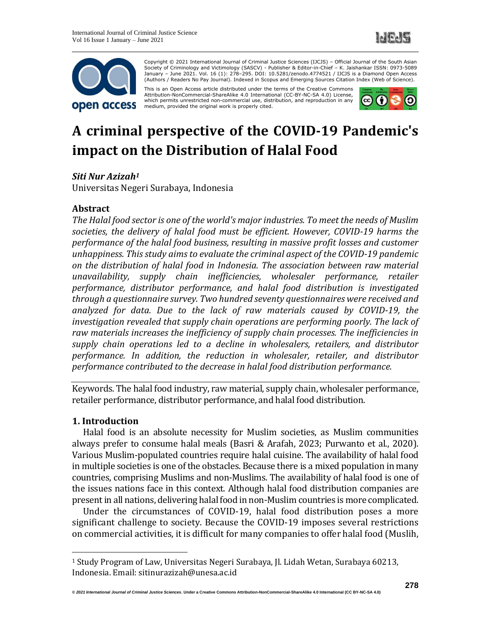



Copyright © 2021 International Journal of Criminal Justice Sciences (IJCJS) – Official Journal of the South Asian Society of Criminology and Victimology (SASCV) - Publisher & Editor-in-Chief – K. Jaishankar ISSN: 0973-5089 January – June 2021. Vol. 16 (1): 278–295. DOI: 10.5281/zenodo.4774521 / IJCJS is a Diamond Open Access (Authors / Readers No Pay Journal). Indexed in Scopus and Emerging Sources Citation Index (Web of Science).

This is an Open Access article distributed under the terms of the Creative Commons Attribution-NonCommercial-ShareAlike 4.0 International (CC-BY-NC-SA 4.0) License, which permits unrestricted non-commercial use, distribution, and reproduction in any medium, provided the original work is properly cited.



# **A criminal perspective of the COVID-19 Pandemic's impact on the Distribution of Halal Food**

# *Siti Nur Azizah<sup>1</sup>*

Universitas Negeri Surabaya, Indonesia

# **Abstract**

*The Halal food sector is one of the world's major industries. To meet the needs of Muslim societies, the delivery of halal food must be efficient. However, COVID-19 harms the performance of the halal food business, resulting in massive profit losses and customer unhappiness. This study aims to evaluate the criminal aspect of the COVID-19 pandemic on the distribution of halal food in Indonesia. The association between raw material unavailability, supply chain inefficiencies, wholesaler performance, retailer performance, distributor performance, and halal food distribution is investigated through a questionnaire survey. Two hundred seventy questionnaires were received and analyzed for data. Due to the lack of raw materials caused by COVID-19, the investigation revealed that supply chain operations are performing poorly. The lack of raw materials increases the inefficiency of supply chain processes. The inefficiencies in supply chain operations led to a decline in wholesalers, retailers, and distributor performance. In addition, the reduction in wholesaler, retailer, and distributor performance contributed to the decrease in halal food distribution performance.*

Keywords. The halal food industry, raw material, supply chain, wholesaler performance, retailer performance, distributor performance, and halal food distribution.

# **1. Introduction**

Halal food is an absolute necessity for Muslim societies, as Muslim communities always prefer to consume halal meals (Basri & Arafah, 2023; Purwanto et al., 2020). Various Muslim-populated countries require halal cuisine. The availability of halal food in multiple societies is one of the obstacles. Because there is a mixed population in many countries, comprising Muslims and non-Muslims. The availability of halal food is one of the issues nations face in this context. Although halal food distribution companies are present in all nations, delivering halal food in non-Muslim countries is more complicated.

Under the circumstances of COVID-19, halal food distribution poses a more significant challenge to society. Because the COVID-19 imposes several restrictions on commercial activities, it is difficult for many companies to offer halal food (Muslih,

<sup>1</sup> Study Program of Law, Universitas Negeri Surabaya, Jl. Lidah Wetan, Surabaya 60213, Indonesia. Email: sitinurazizah@unesa.ac.id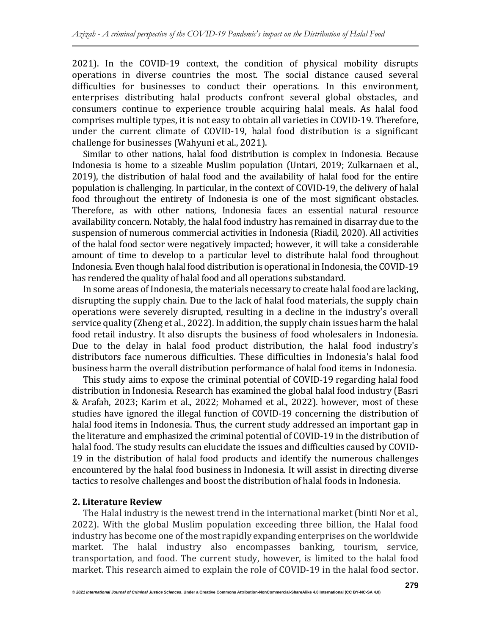2021). In the COVID-19 context, the condition of physical mobility disrupts operations in diverse countries the most. The social distance caused several difficulties for businesses to conduct their operations. In this environment, enterprises distributing halal products confront several global obstacles, and consumers continue to experience trouble acquiring halal meals. As halal food comprises multiple types, it is not easy to obtain all varieties in COVID-19. Therefore, under the current climate of COVID-19, halal food distribution is a significant challenge for businesses (Wahyuni et al., 2021).

Similar to other nations, halal food distribution is complex in Indonesia. Because Indonesia is home to a sizeable Muslim population (Untari, 2019; Zulkarnaen et al., 2019), the distribution of halal food and the availability of halal food for the entire population is challenging. In particular, in the context of COVID-19, the delivery of halal food throughout the entirety of Indonesia is one of the most significant obstacles. Therefore, as with other nations, Indonesia faces an essential natural resource availability concern. Notably, the halal food industry has remained in disarray due to the suspension of numerous commercial activities in Indonesia (Riadil, 2020). All activities of the halal food sector were negatively impacted; however, it will take a considerable amount of time to develop to a particular level to distribute halal food throughout Indonesia. Even though halal food distribution is operational in Indonesia, the COVID-19 has rendered the quality of halal food and all operations substandard.

In some areas of Indonesia, the materials necessary to create halal food are lacking, disrupting the supply chain. Due to the lack of halal food materials, the supply chain operations were severely disrupted, resulting in a decline in the industry's overall service quality (Zheng et al., 2022). In addition, the supply chain issues harm the halal food retail industry. It also disrupts the business of food wholesalers in Indonesia. Due to the delay in halal food product distribution, the halal food industry's distributors face numerous difficulties. These difficulties in Indonesia's halal food business harm the overall distribution performance of halal food items in Indonesia.

This study aims to expose the criminal potential of COVID-19 regarding halal food distribution in Indonesia. Research has examined the global halal food industry (Basri & Arafah, 2023; Karim et al., 2022; Mohamed et al., 2022). however, most of these studies have ignored the illegal function of COVID-19 concerning the distribution of halal food items in Indonesia. Thus, the current study addressed an important gap in the literature and emphasized the criminal potential of COVID-19 in the distribution of halal food. The study results can elucidate the issues and difficulties caused by COVID-19 in the distribution of halal food products and identify the numerous challenges encountered by the halal food business in Indonesia. It will assist in directing diverse tactics to resolve challenges and boost the distribution of halal foods in Indonesia.

# **2. Literature Review**

The Halal industry is the newest trend in the international market (binti Nor et al., 2022). With the global Muslim population exceeding three billion, the Halal food industry has become one of the most rapidly expanding enterprises on the worldwide market. The halal industry also encompasses banking, tourism, service, transportation, and food. The current study, however, is limited to the halal food market. This research aimed to explain the role of COVID-19 in the halal food sector.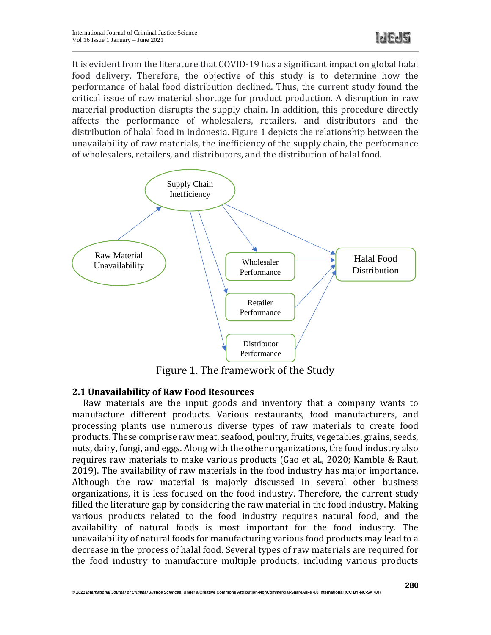It is evident from the literature that COVID-19 has a significant impact on global halal food delivery. Therefore, the objective of this study is to determine how the performance of halal food distribution declined. Thus, the current study found the critical issue of raw material shortage for product production. A disruption in raw material production disrupts the supply chain. In addition, this procedure directly affects the performance of wholesalers, retailers, and distributors and the distribution of halal food in Indonesia. Figure 1 depicts the relationship between the unavailability of raw materials, the inefficiency of the supply chain, the performance of wholesalers, retailers, and distributors, and the distribution of halal food.



Figure 1. The framework of the Study

# **2.1 Unavailability of Raw Food Resources**

Raw materials are the input goods and inventory that a company wants to manufacture different products. Various restaurants, food manufacturers, and processing plants use numerous diverse types of raw materials to create food products. These comprise raw meat, seafood, poultry, fruits, vegetables, grains, seeds, nuts, dairy, fungi, and eggs. Along with the other organizations, the food industry also requires raw materials to make various products (Gao et al., 2020; Kamble & Raut, 2019). The availability of raw materials in the food industry has major importance. Although the raw material is majorly discussed in several other business organizations, it is less focused on the food industry. Therefore, the current study filled the literature gap by considering the raw material in the food industry. Making various products related to the food industry requires natural food, and the availability of natural foods is most important for the food industry. The unavailability of natural foods for manufacturing various food products may lead to a decrease in the process of halal food. Several types of raw materials are required for the food industry to manufacture multiple products, including various products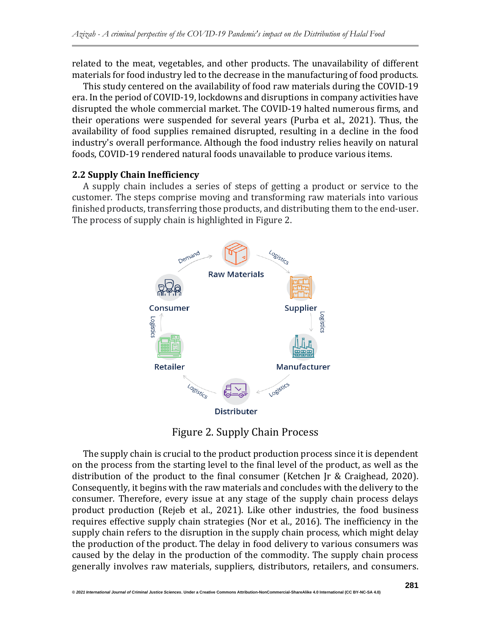related to the meat, vegetables, and other products. The unavailability of different materials for food industry led to the decrease in the manufacturing of food products.

This study centered on the availability of food raw materials during the COVID-19 era. In the period of COVID-19, lockdowns and disruptions in company activities have disrupted the whole commercial market. The COVID-19 halted numerous firms, and their operations were suspended for several years (Purba et al., 2021). Thus, the availability of food supplies remained disrupted, resulting in a decline in the food industry's overall performance. Although the food industry relies heavily on natural foods, COVID-19 rendered natural foods unavailable to produce various items.

# **2.2 Supply Chain Inefficiency**

A supply chain includes a series of steps of getting a product or service to the customer. The steps comprise moving and transforming raw materials into various finished products, transferring those products, and distributing them to the end-user. The process of supply chain is highlighted in Figure 2.



Figure 2. Supply Chain Process

The supply chain is crucial to the product production process since it is dependent on the process from the starting level to the final level of the product, as well as the distribution of the product to the final consumer (Ketchen Jr & Craighead, 2020). Consequently, it begins with the raw materials and concludes with the delivery to the consumer. Therefore, every issue at any stage of the supply chain process delays product production (Rejeb et al., 2021). Like other industries, the food business requires effective supply chain strategies (Nor et al., 2016). The inefficiency in the supply chain refers to the disruption in the supply chain process, which might delay the production of the product. The delay in food delivery to various consumers was caused by the delay in the production of the commodity. The supply chain process generally involves raw materials, suppliers, distributors, retailers, and consumers.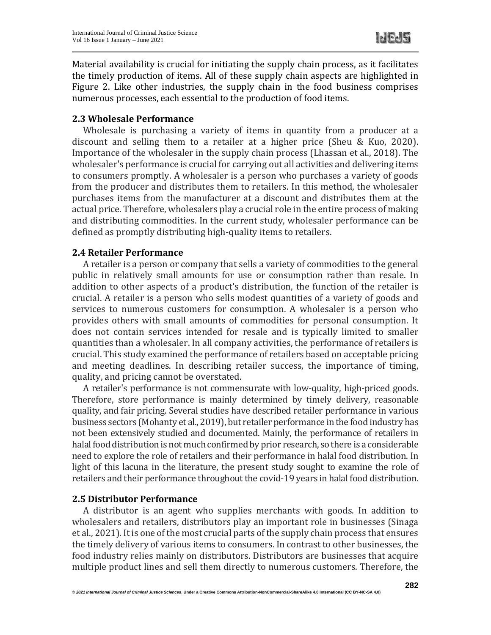Material availability is crucial for initiating the supply chain process, as it facilitates the timely production of items. All of these supply chain aspects are highlighted in Figure 2. Like other industries, the supply chain in the food business comprises numerous processes, each essential to the production of food items.

#### **2.3 Wholesale Performance**

Wholesale is purchasing a variety of items in quantity from a producer at a discount and selling them to a retailer at a higher price (Sheu & Kuo, 2020). Importance of the wholesaler in the supply chain process (Lhassan et al., 2018). The wholesaler's performance is crucial for carrying out all activities and delivering items to consumers promptly. A wholesaler is a person who purchases a variety of goods from the producer and distributes them to retailers. In this method, the wholesaler purchases items from the manufacturer at a discount and distributes them at the actual price. Therefore, wholesalers play a crucial role in the entire process of making and distributing commodities. In the current study, wholesaler performance can be defined as promptly distributing high-quality items to retailers.

#### **2.4 Retailer Performance**

A retailer is a person or company that sells a variety of commodities to the general public in relatively small amounts for use or consumption rather than resale. In addition to other aspects of a product's distribution, the function of the retailer is crucial. A retailer is a person who sells modest quantities of a variety of goods and services to numerous customers for consumption. A wholesaler is a person who provides others with small amounts of commodities for personal consumption. It does not contain services intended for resale and is typically limited to smaller quantities than a wholesaler. In all company activities, the performance of retailers is crucial. This study examined the performance of retailers based on acceptable pricing and meeting deadlines. In describing retailer success, the importance of timing, quality, and pricing cannot be overstated.

A retailer's performance is not commensurate with low-quality, high-priced goods. Therefore, store performance is mainly determined by timely delivery, reasonable quality, and fair pricing. Several studies have described retailer performance in various business sectors (Mohanty et al., 2019), but retailer performance in the food industry has not been extensively studied and documented. Mainly, the performance of retailers in halal food distribution is not much confirmed by prior research, so there is a considerable need to explore the role of retailers and their performance in halal food distribution. In light of this lacuna in the literature, the present study sought to examine the role of retailers and their performance throughout the covid-19 years in halal food distribution.

# **2.5 Distributor Performance**

A distributor is an agent who supplies merchants with goods. In addition to wholesalers and retailers, distributors play an important role in businesses (Sinaga et al., 2021). It is one of the most crucial parts of the supply chain process that ensures the timely delivery of various items to consumers. In contrast to other businesses, the food industry relies mainly on distributors. Distributors are businesses that acquire multiple product lines and sell them directly to numerous customers. Therefore, the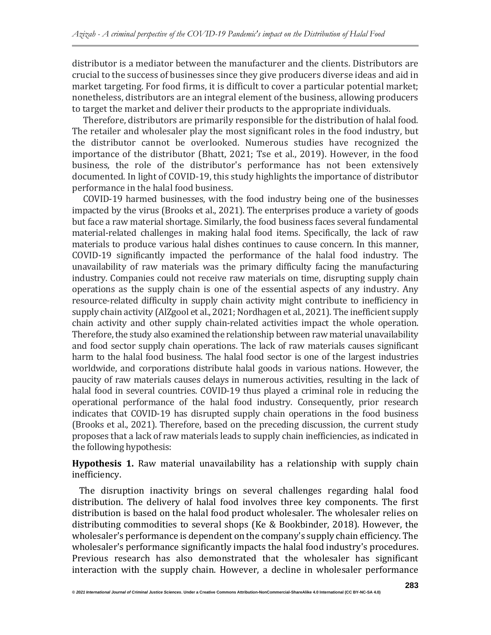distributor is a mediator between the manufacturer and the clients. Distributors are crucial to the success of businesses since they give producers diverse ideas and aid in market targeting. For food firms, it is difficult to cover a particular potential market; nonetheless, distributors are an integral element of the business, allowing producers to target the market and deliver their products to the appropriate individuals.

Therefore, distributors are primarily responsible for the distribution of halal food. The retailer and wholesaler play the most significant roles in the food industry, but the distributor cannot be overlooked. Numerous studies have recognized the importance of the distributor (Bhatt, 2021; Tse et al., 2019). However, in the food business, the role of the distributor's performance has not been extensively documented. In light of COVID-19, this study highlights the importance of distributor performance in the halal food business.

COVID-19 harmed businesses, with the food industry being one of the businesses impacted by the virus (Brooks et al., 2021). The enterprises produce a variety of goods but face a raw material shortage. Similarly, the food business faces several fundamental material-related challenges in making halal food items. Specifically, the lack of raw materials to produce various halal dishes continues to cause concern. In this manner, COVID-19 significantly impacted the performance of the halal food industry. The unavailability of raw materials was the primary difficulty facing the manufacturing industry. Companies could not receive raw materials on time, disrupting supply chain operations as the supply chain is one of the essential aspects of any industry. Any resource-related difficulty in supply chain activity might contribute to inefficiency in supply chain activity (AlZgool et al., 2021; Nordhagen et al., 2021). The inefficient supply chain activity and other supply chain-related activities impact the whole operation. Therefore, the study also examined the relationship between raw material unavailability and food sector supply chain operations. The lack of raw materials causes significant harm to the halal food business. The halal food sector is one of the largest industries worldwide, and corporations distribute halal goods in various nations. However, the paucity of raw materials causes delays in numerous activities, resulting in the lack of halal food in several countries. COVID-19 thus played a criminal role in reducing the operational performance of the halal food industry. Consequently, prior research indicates that COVID-19 has disrupted supply chain operations in the food business (Brooks et al., 2021). Therefore, based on the preceding discussion, the current study proposes that a lack of raw materials leads to supply chain inefficiencies, as indicated in the following hypothesis:

**Hypothesis 1.** Raw material unavailability has a relationship with supply chain inefficiency.

The disruption inactivity brings on several challenges regarding halal food distribution. The delivery of halal food involves three key components. The first distribution is based on the halal food product wholesaler. The wholesaler relies on distributing commodities to several shops (Ke & Bookbinder, 2018). However, the wholesaler's performance is dependent on the company's supply chain efficiency. The wholesaler's performance significantly impacts the halal food industry's procedures. Previous research has also demonstrated that the wholesaler has significant interaction with the supply chain. However, a decline in wholesaler performance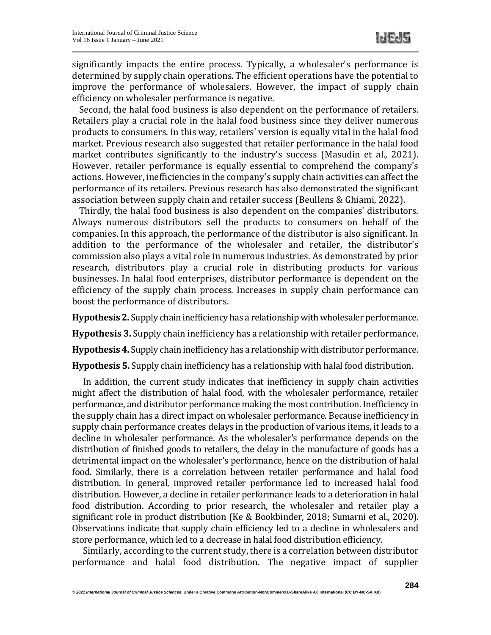significantly impacts the entire process. Typically, a wholesaler's performance is determined by supply chain operations. The efficient operations have the potential to improve the performance of wholesalers. However, the impact of supply chain efficiency on wholesaler performance is negative.

Second, the halal food business is also dependent on the performance of retailers. Retailers play a crucial role in the halal food business since they deliver numerous products to consumers. In this way, retailers' version is equally vital in the halal food market. Previous research also suggested that retailer performance in the halal food market contributes significantly to the industry's success (Masudin et al., 2021). However, retailer performance is equally essential to comprehend the company's actions. However, inefficiencies in the company's supply chain activities can affect the performance of its retailers. Previous research has also demonstrated the significant association between supply chain and retailer success (Beullens & Ghiami, 2022).

Thirdly, the halal food business is also dependent on the companies' distributors. Always numerous distributors sell the products to consumers on behalf of the companies. In this approach, the performance of the distributor is also significant. In addition to the performance of the wholesaler and retailer, the distributor's commission also plays a vital role in numerous industries. As demonstrated by prior research, distributors play a crucial role in distributing products for various businesses. In halal food enterprises, distributor performance is dependent on the efficiency of the supply chain process. Increases in supply chain performance can boost the performance of distributors.

Hypothesis 2. Supply chain inefficiency has a relationship with wholesaler performance.

**Hypothesis 3.** Supply chain inefficiency has a relationship with retailer performance.

**Hypothesis 4.**Supply chain inefficiency has a relationshipwith distributor performance.

**Hypothesis 5.** Supply chain inefficiency has a relationship with halal food distribution.

In addition, the current study indicates that inefficiency in supply chain activities might affect the distribution of halal food, with the wholesaler performance, retailer performance, and distributor performance making the most contribution. Inefficiency in the supply chain has a direct impact on wholesaler performance. Because inefficiency in supply chain performance creates delays in the production of various items, it leads to a decline in wholesaler performance. As the wholesaler's performance depends on the distribution of finished goods to retailers, the delay in the manufacture of goods has a detrimental impact on the wholesaler's performance, hence on the distribution of halal food. Similarly, there is a correlation between retailer performance and halal food distribution. In general, improved retailer performance led to increased halal food distribution. However, a decline in retailer performance leads to a deterioration in halal food distribution. According to prior research, the wholesaler and retailer play a significant role in product distribution (Ke & Bookbinder, 2018; Sumarni et al., 2020). Observations indicate that supply chain efficiency led to a decline in wholesalers and store performance, which led to a decrease in halal food distribution efficiency.

Similarly, according to the current study, there is a correlation between distributor performance and halal food distribution. The negative impact of supplier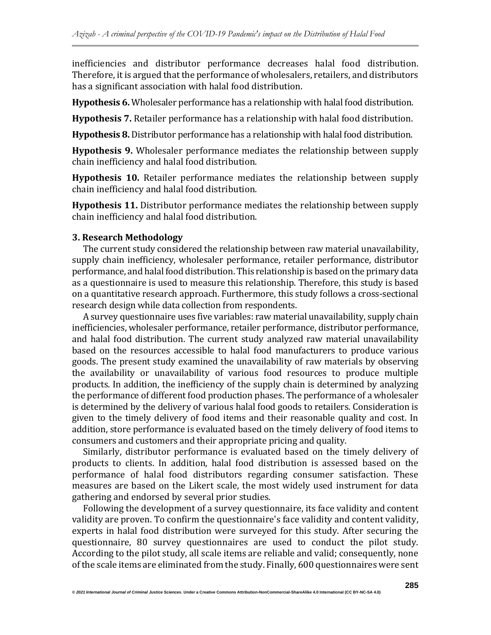inefficiencies and distributor performance decreases halal food distribution. Therefore, it is argued that the performance of wholesalers, retailers, and distributors has a significant association with halal food distribution.

**Hypothesis 6.** Wholesaler performance has a relationship with halal food distribution.

**Hypothesis 7.** Retailer performance has a relationship with halal food distribution.

**Hypothesis 8.** Distributor performance has a relationship with halal food distribution.

**Hypothesis 9.** Wholesaler performance mediates the relationship between supply chain inefficiency and halal food distribution.

**Hypothesis 10.** Retailer performance mediates the relationship between supply chain inefficiency and halal food distribution.

**Hypothesis 11.** Distributor performance mediates the relationship between supply chain inefficiency and halal food distribution.

#### **3. Research Methodology**

The current study considered the relationship between raw material unavailability, supply chain inefficiency, wholesaler performance, retailer performance, distributor performance, and halal food distribution. This relationship is based on the primary data as a questionnaire is used to measure this relationship. Therefore, this study is based on a quantitative research approach. Furthermore, this study follows a cross-sectional research design while data collection from respondents.

A survey questionnaire uses five variables: raw material unavailability, supply chain inefficiencies, wholesaler performance, retailer performance, distributor performance, and halal food distribution. The current study analyzed raw material unavailability based on the resources accessible to halal food manufacturers to produce various goods. The present study examined the unavailability of raw materials by observing the availability or unavailability of various food resources to produce multiple products. In addition, the inefficiency of the supply chain is determined by analyzing the performance of different food production phases. The performance of a wholesaler is determined by the delivery of various halal food goods to retailers. Consideration is given to the timely delivery of food items and their reasonable quality and cost. In addition, store performance is evaluated based on the timely delivery of food items to consumers and customers and their appropriate pricing and quality.

Similarly, distributor performance is evaluated based on the timely delivery of products to clients. In addition, halal food distribution is assessed based on the performance of halal food distributors regarding consumer satisfaction. These measures are based on the Likert scale, the most widely used instrument for data gathering and endorsed by several prior studies.

Following the development of a survey questionnaire, its face validity and content validity are proven. To confirm the questionnaire's face validity and content validity, experts in halal food distribution were surveyed for this study. After securing the questionnaire, 80 survey questionnaires are used to conduct the pilot study. According to the pilot study, all scale items are reliable and valid; consequently, none ofthe scale items are eliminated from the study. Finally, 600 questionnaires were sent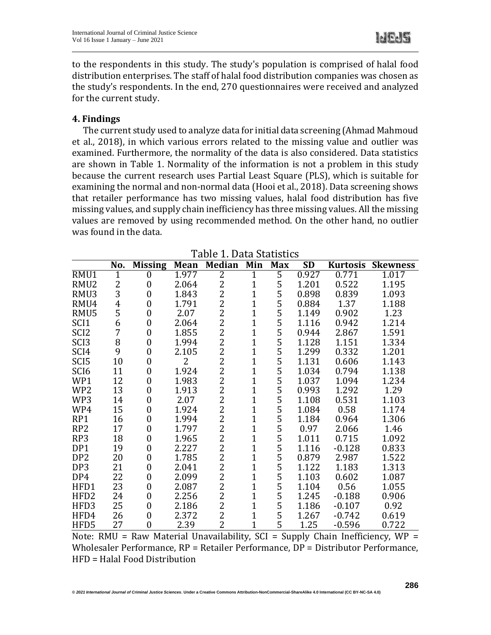**Id Pd 5** 

to the respondents in this study. The study's population is comprised of halal food distribution enterprises. The staff of halal food distribution companies was chosen as the study's respondents. In the end, 270 questionnaires were received and analyzed for the current study.

#### **4. Findings**

The current study used to analyze data for initial data screening (Ahmad Mahmoud et al., 2018), in which various errors related to the missing value and outlier was examined. Furthermore, the normality of the data is also considered. Data statistics are shown in Table 1. Normality of the information is not a problem in this study because the current research uses Partial Least Square (PLS), which is suitable for examining the normal and non-normal data (Hooi et al., 2018). Data screening shows that retailer performance has two missing values, halal food distribution has five missing values, and supply chain inefficiency has three missing values. All the missing values are removed by using recommended method. On the other hand, no outlier was found in the data.

|                  | No. | <b>Missing</b> | <b>Mean</b> | <b>Median</b>  | Min          | <b>Max</b> | <b>SD</b> | <b>Kurtosis</b> | <b>Skewness</b> |
|------------------|-----|----------------|-------------|----------------|--------------|------------|-----------|-----------------|-----------------|
| RMU1             | 1   | 0              | 1.977       | $\overline{2}$ | 1            | 5          | 0.927     | 0.771           | 1.017           |
| RMU <sub>2</sub> | 2   | $\overline{0}$ | 2.064       | 2              | $\mathbf 1$  | 5          | 1.201     | 0.522           | 1.195           |
| RMU3             | 3   | 0              | 1.843       | 2              | 1            | 5          | 0.898     | 0.839           | 1.093           |
| RMU4             | 4   | 0              | 1.791       | $\overline{2}$ | 1            | 5          | 0.884     | 1.37            | 1.188           |
| RMU5             | 5   | 0              | 2.07        | $\overline{2}$ | 1            | 5          | 1.149     | 0.902           | 1.23            |
| SCI <sub>1</sub> | 6   | 0              | 2.064       | $\overline{2}$ | 1            | 5          | 1.116     | 0.942           | 1.214           |
| SCI <sub>2</sub> | 7   | 0              | 1.855       | $\overline{2}$ | $\mathbf{1}$ | 5          | 0.944     | 2.867           | 1.591           |
| SC <sub>I3</sub> | 8   | 0              | 1.994       | $\overline{2}$ | 1            | 5          | 1.128     | 1.151           | 1.334           |
| SCI <sub>4</sub> | 9   | 0              | 2.105       | $\overline{c}$ | 1            | 5          | 1.299     | 0.332           | 1.201           |
| SCI <sub>5</sub> | 10  | 0              | 2           | $\overline{2}$ | 1            | 5          | 1.131     | 0.606           | 1.143           |
| SCI <sub>6</sub> | 11  | 0              | 1.924       | $\overline{2}$ | 1            | 5          | 1.034     | 0.794           | 1.138           |
| WP1              | 12  | 0              | 1.983       | $\overline{2}$ | 1            | 5          | 1.037     | 1.094           | 1.234           |
| WP <sub>2</sub>  | 13  | 0              | 1.913       | 2              | 1            | 5          | 0.993     | 1.292           | 1.29            |
| WP3              | 14  | 0              | 2.07        | $\overline{2}$ | 1            | 5          | 1.108     | 0.531           | 1.103           |
| WP4              | 15  | 0              | 1.924       | 2              | 1            | 5          | 1.084     | 0.58            | 1.174           |
| RP1              | 16  | 0              | 1.994       | $\overline{c}$ | 1            | 5          | 1.184     | 0.964           | 1.306           |
| RP <sub>2</sub>  | 17  | 0              | 1.797       | $\overline{2}$ | 1            | 5          | 0.97      | 2.066           | 1.46            |
| RP3              | 18  | 0              | 1.965       | $\overline{2}$ | 1            | 5          | 1.011     | 0.715           | 1.092           |
| DP1              | 19  | 0              | 2.227       | $\overline{2}$ | 1            | 5          | 1.116     | $-0.128$        | 0.833           |
| DP <sub>2</sub>  | 20  | 0              | 1.785       | $\overline{2}$ | 1            | 5          | 0.879     | 2.987           | 1.522           |
| DP3              | 21  | 0              | 2.041       | $\overline{2}$ | 1            | 5          | 1.122     | 1.183           | 1.313           |
| DP4              | 22  | 0              | 2.099       | $\overline{2}$ | 1            | 5          | 1.103     | 0.602           | 1.087           |
| HFD1             | 23  | 0              | 2.087       | $\overline{2}$ | 1            | 5          | 1.104     | 0.56            | 1.055           |
| HFD <sub>2</sub> | 24  | 0              | 2.256       | $\overline{2}$ | $\mathbf{1}$ | 5          | 1.245     | $-0.188$        | 0.906           |
| HFD3             | 25  | 0              | 2.186       | $\overline{c}$ | 1            | 5          | 1.186     | $-0.107$        | 0.92            |
| HFD4             | 26  | 0              | 2.372       | $\overline{2}$ | 1            | 5          | 1.267     | $-0.742$        | 0.619           |
| HFD5             | 27  | $\overline{0}$ | 2.39        | $\overline{2}$ | 1            | 5          | 1.25      | $-0.596$        | 0.722           |

Table 1. Data Statistics

Note: RMU = Raw Material Unavailability,  $SCI = Supply$  Chain Inefficiency, WP = Wholesaler Performance, RP = Retailer Performance, DP = Distributor Performance, HFD = Halal Food Distribution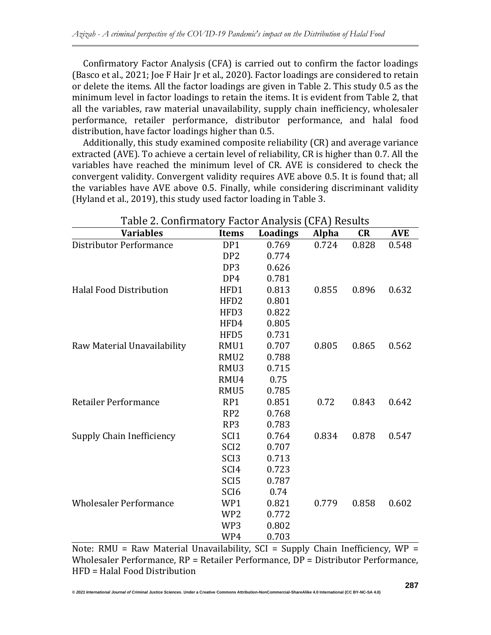Confirmatory Factor Analysis (CFA) is carried out to confirm the factor loadings (Basco et al., 2021; Joe F Hair Jr et al., 2020). Factor loadings are considered to retain or delete the items. All the factor loadings are given in Table 2. This study 0.5 as the minimum level in factor loadings to retain the items. It is evident from Table 2, that all the variables, raw material unavailability, supply chain inefficiency, wholesaler performance, retailer performance, distributor performance, and halal food distribution, have factor loadings higher than 0.5.

Additionally, this study examined composite reliability (CR) and average variance extracted (AVE). To achieve a certain level of reliability, CR is higher than 0.7. All the variables have reached the minimum level of CR. AVE is considered to check the convergent validity. Convergent validity requires AVE above 0.5. It is found that; all the variables have AVE above 0.5. Finally, while considering discriminant validity (Hyland et al., 2019), this study used factor loading in Table 3.

| Table 2. Confirmatory Factor Analysis (CFA) Results |                  |          |              |       |            |  |  |  |
|-----------------------------------------------------|------------------|----------|--------------|-------|------------|--|--|--|
| <b>Variables</b>                                    | <b>Items</b>     | Loadings | <b>Alpha</b> | CR    | <b>AVE</b> |  |  |  |
| Distributor Performance                             | DP1              | 0.769    | 0.724        | 0.828 | 0.548      |  |  |  |
|                                                     | DP <sub>2</sub>  | 0.774    |              |       |            |  |  |  |
|                                                     | DP3              | 0.626    |              |       |            |  |  |  |
|                                                     | DP4              | 0.781    |              |       |            |  |  |  |
| <b>Halal Food Distribution</b>                      | HFD1             | 0.813    | 0.855        | 0.896 | 0.632      |  |  |  |
|                                                     | HFD <sub>2</sub> | 0.801    |              |       |            |  |  |  |
|                                                     | HFD3             | 0.822    |              |       |            |  |  |  |
|                                                     | HFD4             | 0.805    |              |       |            |  |  |  |
|                                                     | HFD5             | 0.731    |              |       |            |  |  |  |
| Raw Material Unavailability                         | RMU1             | 0.707    | 0.805        | 0.865 | 0.562      |  |  |  |
|                                                     | RMU2             | 0.788    |              |       |            |  |  |  |
|                                                     | RMU3             | 0.715    |              |       |            |  |  |  |
|                                                     | RMU4             | 0.75     |              |       |            |  |  |  |
|                                                     | RMU5             | 0.785    |              |       |            |  |  |  |
| Retailer Performance                                | RP1              | 0.851    | 0.72         | 0.843 | 0.642      |  |  |  |
|                                                     | RP <sub>2</sub>  | 0.768    |              |       |            |  |  |  |
|                                                     | RP3              | 0.783    |              |       |            |  |  |  |
| Supply Chain Inefficiency                           | SCI <sub>1</sub> | 0.764    | 0.834        | 0.878 | 0.547      |  |  |  |
|                                                     | SCI <sub>2</sub> | 0.707    |              |       |            |  |  |  |
|                                                     | SCI <sub>3</sub> | 0.713    |              |       |            |  |  |  |
|                                                     | SCI <sub>4</sub> | 0.723    |              |       |            |  |  |  |
|                                                     | SCI <sub>5</sub> | 0.787    |              |       |            |  |  |  |
|                                                     | SCI <sub>6</sub> | 0.74     |              |       |            |  |  |  |
| <b>Wholesaler Performance</b>                       | WP1              | 0.821    | 0.779        | 0.858 | 0.602      |  |  |  |
|                                                     | WP <sub>2</sub>  | 0.772    |              |       |            |  |  |  |
|                                                     | WP3              | 0.802    |              |       |            |  |  |  |
|                                                     | WP4              | 0.703    |              |       |            |  |  |  |

Note: RMU = Raw Material Unavailability, SCI = Supply Chain Inefficiency, WP = Wholesaler Performance, RP = Retailer Performance, DP = Distributor Performance, HFD = Halal Food Distribution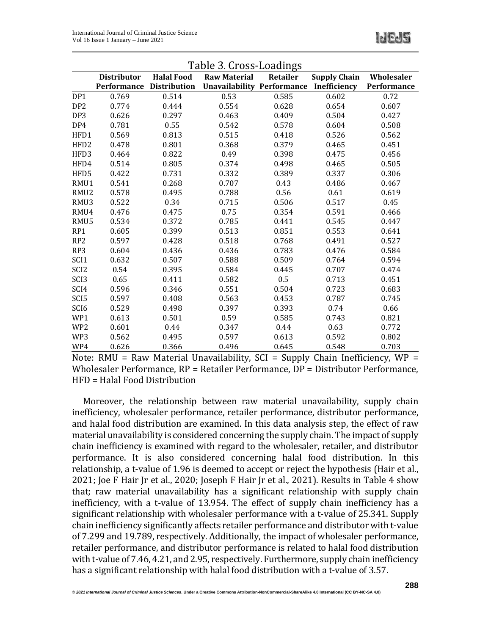|                  | Table 3. Cross-Loadings |                     |                                   |                 |                     |             |  |  |  |
|------------------|-------------------------|---------------------|-----------------------------------|-----------------|---------------------|-------------|--|--|--|
|                  | <b>Distributor</b>      | <b>Halal Food</b>   | <b>Raw Material</b>               | <b>Retailer</b> | <b>Supply Chain</b> | Wholesaler  |  |  |  |
|                  | Performance             | <b>Distribution</b> | <b>Unavailability Performance</b> |                 | Inefficiency        | Performance |  |  |  |
| DP1              | 0.769                   | 0.514               | 0.53                              | 0.585           | 0.602               | 0.72        |  |  |  |
| DP <sub>2</sub>  | 0.774                   | 0.444               | 0.554                             | 0.628           | 0.654               | 0.607       |  |  |  |
| DP <sub>3</sub>  | 0.626                   | 0.297               | 0.463                             | 0.409           | 0.504               | 0.427       |  |  |  |
| DP4              | 0.781                   | 0.55                | 0.542                             | 0.578           | 0.604               | 0.508       |  |  |  |
| HFD1             | 0.569                   | 0.813               | 0.515                             | 0.418           | 0.526               | 0.562       |  |  |  |
| HFD2             | 0.478                   | 0.801               | 0.368                             | 0.379           | 0.465               | 0.451       |  |  |  |
| HFD3             | 0.464                   | 0.822               | 0.49                              | 0.398           | 0.475               | 0.456       |  |  |  |
| HFD4             | 0.514                   | 0.805               | 0.374                             | 0.498           | 0.465               | 0.505       |  |  |  |
| HFD5             | 0.422                   | 0.731               | 0.332                             | 0.389           | 0.337               | 0.306       |  |  |  |
| RMU1             | 0.541                   | 0.268               | 0.707                             | 0.43            | 0.486               | 0.467       |  |  |  |
| RMU <sub>2</sub> | 0.578                   | 0.495               | 0.788                             | 0.56            | 0.61                | 0.619       |  |  |  |
| RMU3             | 0.522                   | 0.34                | 0.715                             | 0.506           | 0.517               | 0.45        |  |  |  |
| RMU4             | 0.476                   | 0.475               | 0.75                              | 0.354           | 0.591               | 0.466       |  |  |  |
| RMU5             | 0.534                   | 0.372               | 0.785                             | 0.441           | 0.545               | 0.447       |  |  |  |
| RP1              | 0.605                   | 0.399               | 0.513                             | 0.851           | 0.553               | 0.641       |  |  |  |
| RP <sub>2</sub>  | 0.597                   | 0.428               | 0.518                             | 0.768           | 0.491               | 0.527       |  |  |  |
| RP3              | 0.604                   | 0.436               | 0.436                             | 0.783           | 0.476               | 0.584       |  |  |  |
| SCI1             | 0.632                   | 0.507               | 0.588                             | 0.509           | 0.764               | 0.594       |  |  |  |
| SCI <sub>2</sub> | 0.54                    | 0.395               | 0.584                             | 0.445           | 0.707               | 0.474       |  |  |  |
| SCI <sub>3</sub> | 0.65                    | 0.411               | 0.582                             | 0.5             | 0.713               | 0.451       |  |  |  |
| SCI <sub>4</sub> | 0.596                   | 0.346               | 0.551                             | 0.504           | 0.723               | 0.683       |  |  |  |
| SCI <sub>5</sub> | 0.597                   | 0.408               | 0.563                             | 0.453           | 0.787               | 0.745       |  |  |  |
| SCI <sub>6</sub> | 0.529                   | 0.498               | 0.397                             | 0.393           | 0.74                | 0.66        |  |  |  |
| WP1              | 0.613                   | 0.501               | 0.59                              | 0.585           | 0.743               | 0.821       |  |  |  |
| WP <sub>2</sub>  | 0.601                   | 0.44                | 0.347                             | 0.44            | 0.63                | 0.772       |  |  |  |
| WP3              | 0.562                   | 0.495               | 0.597                             | 0.613           | 0.592               | 0.802       |  |  |  |
| WP4              | 0.626                   | 0.366               | 0.496                             | 0.645           | 0.548               | 0.703       |  |  |  |

Note: RMU = Raw Material Unavailability, SCI = Supply Chain Inefficiency, WP = Wholesaler Performance, RP = Retailer Performance, DP = Distributor Performance, HFD = Halal Food Distribution

Moreover, the relationship between raw material unavailability, supply chain inefficiency, wholesaler performance, retailer performance, distributor performance, and halal food distribution are examined. In this data analysis step, the effect of raw material unavailability is considered concerning the supply chain. The impact of supply chain inefficiency is examined with regard to the wholesaler, retailer, and distributor performance. It is also considered concerning halal food distribution. In this relationship, a t-value of 1.96 is deemed to accept or reject the hypothesis (Hair et al., 2021; Joe F Hair Jr et al., 2020; Joseph F Hair Jr et al., 2021). Results in Table 4 show that; raw material unavailability has a significant relationship with supply chain inefficiency, with a t-value of 13.954. The effect of supply chain inefficiency has a significant relationship with wholesaler performance with a t-value of 25.341. Supply chain inefficiency significantly affects retailer performance and distributor with t-value of 7.299 and 19.789, respectively. Additionally, the impact of wholesaler performance, retailer performance, and distributor performance is related to halal food distribution with t-value of 7.46, 4.21, and 2.95, respectively. Furthermore, supply chain inefficiency has a significant relationship with halal food distribution with a t-value of 3.57.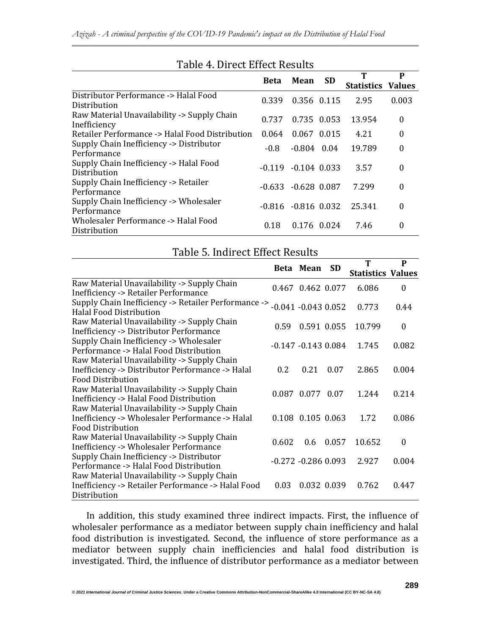|                                                             | Mean<br><b>Beta</b> |                        | <b>SD</b>   |                   | P             |  |
|-------------------------------------------------------------|---------------------|------------------------|-------------|-------------------|---------------|--|
|                                                             |                     |                        |             | <b>Statistics</b> | <b>Values</b> |  |
| Distributor Performance -> Halal Food<br>Distribution       | 0.339               | 0.356 0.115            |             | 2.95              | 0.003         |  |
| Raw Material Unavailability -> Supply Chain<br>Inefficiency | 0.737               |                        | 0.735 0.053 | 13.954            | $\theta$      |  |
| Retailer Performance -> Halal Food Distribution             | 0.064               |                        | 0.067 0.015 | 4.21              | 0             |  |
| Supply Chain Inefficiency -> Distributor<br>Performance     | $-0.8$              | $-0.804$ 0.04          |             | 19.789            | $\theta$      |  |
| Supply Chain Inefficiency -> Halal Food<br>Distribution     | $-0.119$            | $-0.104$ 0.033         |             | 3.57              | 0             |  |
| Supply Chain Inefficiency -> Retailer<br>Performance        | -0.633 -            | $-0.628$ 0.087         |             | 7.299             | 0             |  |
| Supply Chain Inefficiency -> Wholesaler<br>Performance      |                     | $-0.816 - 0.816 0.032$ |             | 25.341            | 0             |  |
| Wholesaler Performance -> Halal Food<br>Distribution        | 0.18                |                        | 0.176 0.024 | 7.46              | 0             |  |

# Table 4. Direct Effect Results

| Table 5. Indirect Effect Results                                                                                           |       |                        |           |                               |                  |  |  |
|----------------------------------------------------------------------------------------------------------------------------|-------|------------------------|-----------|-------------------------------|------------------|--|--|
|                                                                                                                            |       | Beta Mean              | <b>SD</b> | T<br><b>Statistics Values</b> | P                |  |  |
| Raw Material Unavailability -> Supply Chain<br><b>Inefficiency -&gt; Retailer Performance</b>                              |       | 0.467 0.462 0.077      |           | 6.086                         | $\boldsymbol{0}$ |  |  |
| Supply Chain Inefficiency -> Retailer Performance -><br><b>Halal Food Distribution</b>                                     |       | $-0.041 - 0.043 0.052$ |           | 0.773                         | 0.44             |  |  |
| Raw Material Unavailability -> Supply Chain<br><b>Inefficiency -&gt; Distributor Performance</b>                           | 0.59  | 0.591 0.055            |           | 10.799                        | 0                |  |  |
| Supply Chain Inefficiency -> Wholesaler<br>Performance -> Halal Food Distribution                                          |       | $-0.147 - 0.143$ 0.084 |           | 1.745                         | 0.082            |  |  |
| Raw Material Unavailability -> Supply Chain<br>Inefficiency -> Distributor Performance -> Halal<br>Food Distribution       | 0.2   | 0.21                   | 0.07      | 2.865                         | 0.004            |  |  |
| Raw Material Unavailability -> Supply Chain<br>Inefficiency -> Halal Food Distribution                                     |       | 0.087 0.077 0.07       |           | 1.244                         | 0.214            |  |  |
| Raw Material Unavailability -> Supply Chain<br>Inefficiency -> Wholesaler Performance -> Halal<br><b>Food Distribution</b> |       | 0.108 0.105 0.063      |           | 1.72                          | 0.086            |  |  |
| Raw Material Unavailability -> Supply Chain<br><b>Inefficiency -&gt; Wholesaler Performance</b>                            | 0.602 | 0.6                    | 0.057     | 10.652                        | $\theta$         |  |  |
| Supply Chain Inefficiency -> Distributor<br>Performance -> Halal Food Distribution                                         |       | $-0.272 - 0.286 0.093$ |           | 2.927                         | 0.004            |  |  |
| Raw Material Unavailability -> Supply Chain<br>Inefficiency -> Retailer Performance -> Halal Food<br>Distribution          | 0.03  | 0.032 0.039            |           | 0.762                         | 0.447            |  |  |

#### In addition, this study examined three indirect impacts. First, the influence of wholesaler performance as a mediator between supply chain inefficiency and halal food distribution is investigated. Second, the influence of store performance as a mediator between supply chain inefficiencies and halal food distribution is investigated. Third, the influence of distributor performance as a mediator between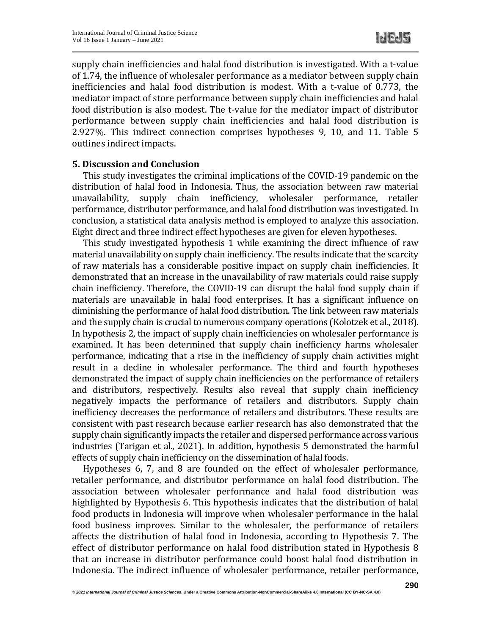supply chain inefficiencies and halal food distribution is investigated. With a t-value of 1.74, the influence of wholesaler performance as a mediator between supply chain inefficiencies and halal food distribution is modest. With a t-value of 0.773, the mediator impact of store performance between supply chain inefficiencies and halal food distribution is also modest. The t-value for the mediator impact of distributor performance between supply chain inefficiencies and halal food distribution is 2.927%. This indirect connection comprises hypotheses 9, 10, and 11. Table 5 outlines indirect impacts.

#### **5. Discussion and Conclusion**

This study investigates the criminal implications of the COVID-19 pandemic on the distribution of halal food in Indonesia. Thus, the association between raw material unavailability, supply chain inefficiency, wholesaler performance, retailer performance, distributor performance, and halal food distribution was investigated. In conclusion, a statistical data analysis method is employed to analyze this association. Eight direct and three indirect effect hypotheses are given for eleven hypotheses.

This study investigated hypothesis 1 while examining the direct influence of raw material unavailability on supply chain inefficiency. The results indicate that the scarcity of raw materials has a considerable positive impact on supply chain inefficiencies. It demonstrated that an increase in the unavailability of raw materials could raise supply chain inefficiency. Therefore, the COVID-19 can disrupt the halal food supply chain if materials are unavailable in halal food enterprises. It has a significant influence on diminishing the performance of halal food distribution. The link between raw materials and the supply chain is crucial to numerous company operations (Kolotzek et al., 2018). In hypothesis 2, the impact of supply chain inefficiencies on wholesaler performance is examined. It has been determined that supply chain inefficiency harms wholesaler performance, indicating that a rise in the inefficiency of supply chain activities might result in a decline in wholesaler performance. The third and fourth hypotheses demonstrated the impact of supply chain inefficiencies on the performance of retailers and distributors, respectively. Results also reveal that supply chain inefficiency negatively impacts the performance of retailers and distributors. Supply chain inefficiency decreases the performance of retailers and distributors. These results are consistent with past research because earlier research has also demonstrated that the supply chain significantly impacts the retailer and dispersed performance across various industries (Tarigan et al., 2021). In addition, hypothesis 5 demonstrated the harmful effects of supply chain inefficiency on the dissemination of halal foods.

Hypotheses 6, 7, and 8 are founded on the effect of wholesaler performance, retailer performance, and distributor performance on halal food distribution. The association between wholesaler performance and halal food distribution was highlighted by Hypothesis 6. This hypothesis indicates that the distribution of halal food products in Indonesia will improve when wholesaler performance in the halal food business improves. Similar to the wholesaler, the performance of retailers affects the distribution of halal food in Indonesia, according to Hypothesis 7. The effect of distributor performance on halal food distribution stated in Hypothesis 8 that an increase in distributor performance could boost halal food distribution in Indonesia. The indirect influence of wholesaler performance, retailer performance,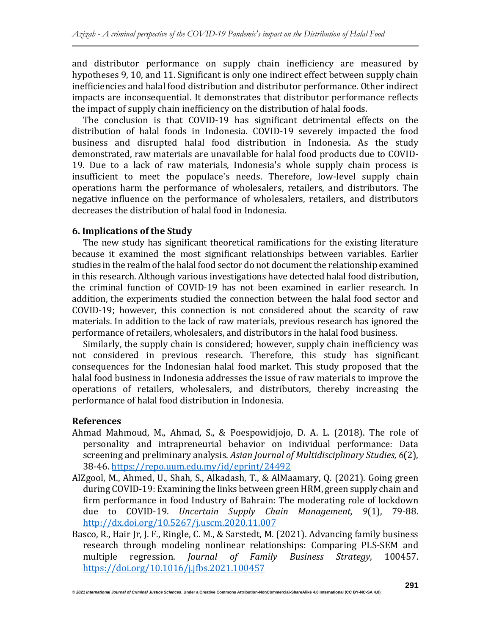and distributor performance on supply chain inefficiency are measured by hypotheses 9, 10, and 11. Significant is only one indirect effect between supply chain inefficiencies and halal food distribution and distributor performance. Other indirect impacts are inconsequential. It demonstrates that distributor performance reflects the impact of supply chain inefficiency on the distribution of halal foods.

The conclusion is that COVID-19 has significant detrimental effects on the distribution of halal foods in Indonesia. COVID-19 severely impacted the food business and disrupted halal food distribution in Indonesia. As the study demonstrated, raw materials are unavailable for halal food products due to COVID-19. Due to a lack of raw materials, Indonesia's whole supply chain process is insufficient to meet the populace's needs. Therefore, low-level supply chain operations harm the performance of wholesalers, retailers, and distributors. The negative influence on the performance of wholesalers, retailers, and distributors decreases the distribution of halal food in Indonesia.

#### **6. Implications of the Study**

The new study has significant theoretical ramifications for the existing literature because it examined the most significant relationships between variables. Earlier studies in the realm of the halal food sector do not document the relationship examined in this research. Although various investigations have detected halal food distribution, the criminal function of COVID-19 has not been examined in earlier research. In addition, the experiments studied the connection between the halal food sector and COVID-19; however, this connection is not considered about the scarcity of raw materials. In addition to the lack of raw materials, previous research has ignored the performance of retailers, wholesalers, and distributors in the halal food business.

Similarly, the supply chain is considered; however, supply chain inefficiency was not considered in previous research. Therefore, this study has significant consequences for the Indonesian halal food market. This study proposed that the halal food business in Indonesia addresses the issue of raw materials to improve the operations of retailers, wholesalers, and distributors, thereby increasing the performance of halal food distribution in Indonesia.

#### **References**

- Ahmad Mahmoud, M., Ahmad, S., & Poespowidjojo, D. A. L. (2018). The role of personality and intrapreneurial behavior on individual performance: Data screening and preliminary analysis. *Asian Journal of Multidisciplinary Studies, 6*(2), 38-46. <https://repo.uum.edu.my/id/eprint/24492>
- AlZgool, M., Ahmed, U., Shah, S., Alkadash, T., & AlMaamary, Q. (2021). Going green during COVID-19: Examining the links between green HRM, green supply chain and firm performance in food Industry of Bahrain: The moderating role of lockdown due to COVID-19. *Uncertain Supply Chain Management, 9*(1), 79-88. <http://dx.doi.org/10.5267/j.uscm.2020.11.007>
- Basco, R., Hair Jr, J. F., Ringle, C. M., & Sarstedt, M. (2021). Advancing family business research through modeling nonlinear relationships: Comparing PLS-SEM and multiple regression. *Journal of Family Business Strategy*, 100457. <https://doi.org/10.1016/j.jfbs.2021.100457>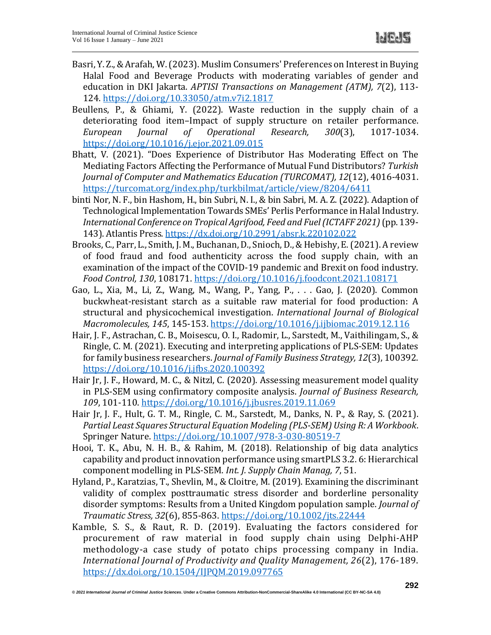- Basri, Y. Z.,&Arafah, W.(2023). Muslim Consumers' Preferences on Interestin Buying Halal Food and Beverage Products with moderating variables of gender and education in DKI Jakarta. *APTISI Transactions on Management (ATM), 7*(2), 113- 124. <https://doi.org/10.33050/atm.v7i2.1817>
- Beullens, P., & Ghiami, Y. (2022). Waste reduction in the supply chain of a deteriorating food item–Impact of supply structure on retailer performance. *European Journal of Operational Research, 300*(3), 1017-1034. <https://doi.org/10.1016/j.ejor.2021.09.015>
- Bhatt, V. (2021). "Does Experience of Distributor Has Moderating Effect on The Mediating Factors Affecting the Performance of Mutual Fund Distributors? *Turkish Journal of Computer and Mathematics Education (TURCOMAT), 12*(12), 4016-4031. <https://turcomat.org/index.php/turkbilmat/article/view/8204/6411>
- binti Nor, N. F., bin Hashom, H., bin Subri, N. I., & bin Sabri, M. A. Z. (2022). Adaption of Technological Implementation TowardsSMEs' Perlis Performance in Halal Industry. *International Conference on Tropical Agrifood, Feed and Fuel(ICTAFF 2021)*(pp. 139- 143). Atlantis Press*.* <https://dx.doi.org/10.2991/absr.k.220102.022>
- Brooks, C., Parr, L.,Smith, J. M., Buchanan, D.,Snioch, D.,& Hebishy, E.(2021). A review of food fraud and food authenticity across the food supply chain, with an examination of the impact of the COVID-19 pandemic and Brexit on food industry. *Food Control, 130*, 108171. <https://doi.org/10.1016/j.foodcont.2021.108171>
- Gao, L., Xia, M., Li, Z., Wang, M., Wang, P., Yang, P., . . . Gao, J. (2020). Common buckwheat-resistant starch as a suitable raw material for food production: A structural and physicochemical investigation. *International Journal of Biological Macromolecules, 145*, 145-153. <https://doi.org/10.1016/j.ijbiomac.2019.12.116>
- Hair, J. F., Astrachan, C. B., Moisescu, O. I., Radomir, L., Sarstedt, M., Vaithilingam, S., & Ringle, C. M. (2021). Executing and interpreting applications of PLS-SEM: Updates for family business researchers. *Journal of Family Business Strategy, 12*(3), 100392. <https://doi.org/10.1016/j.jfbs.2020.100392>
- Hair Jr, J. F., Howard, M. C., & Nitzl, C. (2020). Assessing measurement model quality in PLS-SEM using confirmatory composite analysis. *Journal of Business Research, 109*, 101-110. <https://doi.org/10.1016/j.jbusres.2019.11.069>
- Hair Jr, J. F., Hult, G. T. M., Ringle, C. M., Sarstedt, M., Danks, N. P., & Ray, S. (2021). *Partial Least Squares Structural Equation Modeling (PLS-SEM) Using R: A Workbook*. Springer Nature. <https://doi.org/10.1007/978-3-030-80519-7>
- Hooi, T. K., Abu, N. H. B., & Rahim, M. (2018). Relationship of big data analytics capability and product innovation performance using smartPLS 3.2. 6: Hierarchical component modelling in PLS-SEM. *Int. J. Supply Chain Manag, 7*, 51.
- Hyland, P., Karatzias, T., Shevlin, M., & Cloitre, M. (2019). Examining the discriminant validity of complex posttraumatic stress disorder and borderline personality disorder symptoms: Results from a United Kingdom population sample. *Journal of Traumatic Stress, 32*(6), 855-863. <https://doi.org/10.1002/jts.22444>
- Kamble, S. S., & Raut, R. D. (2019). Evaluating the factors considered for procurement of raw material in food supply chain using Delphi-AHP methodology-a case study of potato chips processing company in India. *International Journal of Productivity and Quality Management, 26*(2), 176-189. <https://dx.doi.org/10.1504/IJPQM.2019.097765>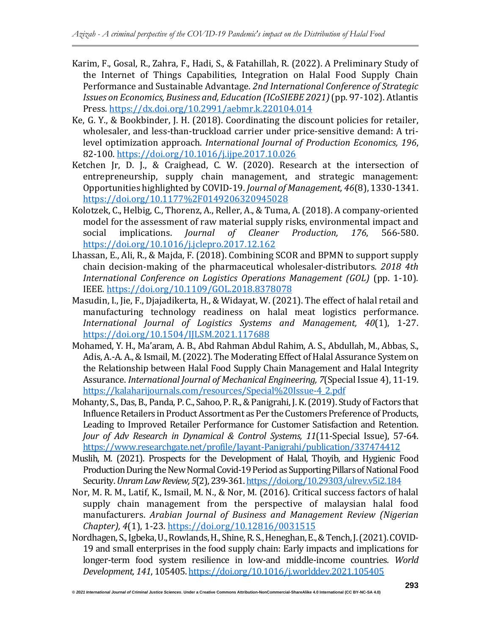- Karim, F., Gosal, R., Zahra, F., Hadi, S., & Fatahillah, R. (2022). A Preliminary Study of the Internet of Things Capabilities, Integration on Halal Food Supply Chain Performance and Sustainable Advantage. *2nd International Conference of Strategic Issues on Economics, Business and, Education (ICoSIEBE 2021)*(pp. 97-102). Atlantis Press*.* <https://dx.doi.org/10.2991/aebmr.k.220104.014>
- Ke, G. Y., & Bookbinder, J. H. (2018). Coordinating the discount policies for retailer, wholesaler, and less-than-truckload carrier under price-sensitive demand: A trilevel optimization approach. *International Journal of Production Economics, 196*, 82-100. <https://doi.org/10.1016/j.ijpe.2017.10.026>
- Ketchen Jr, D. J., & Craighead, C. W. (2020). Research at the intersection of entrepreneurship, supply chain management, and strategic management: Opportunities highlighted by COVID-19. *Journal of Management, 46*(8), 1330-1341. <https://doi.org/10.1177%2F0149206320945028>
- Kolotzek, C., Helbig, C., Thorenz, A., Reller, A., & Tuma, A. (2018). A company-oriented model for the assessment of raw material supply risks, environmental impact and social implications. *Journal of Cleaner Production, 176*, 566-580. <https://doi.org/10.1016/j.jclepro.2017.12.162>
- Lhassan, E., Ali, R., & Majda, F. (2018). Combining SCOR and BPMN to support supply chain decision-making of the pharmaceutical wholesaler-distributors. *2018 4th International Conference on Logistics Operations Management (GOL)* (pp. 1-10). IEEE*.* <https://doi.org/10.1109/GOL.2018.8378078>
- Masudin, I., Jie, F., Djajadikerta, H., & Widayat, W. (2021). The effect of halal retail and manufacturing technology readiness on halal meat logistics performance. *International Journal of Logistics Systems and Management, 40*(1), 1-27. <https://doi.org/10.1504/IJLSM.2021.117688>
- Mohamed, Y. H., Ma'aram, A. B., Abd Rahman Abdul Rahim, A. S., Abdullah, M., Abbas, S., Adis, A.-A. A., & Ismail, M. (2022). The Moderating Effect of Halal Assurance System on the Relationship between Halal Food Supply Chain Management and Halal Integrity Assurance. *International Journal of Mechanical Engineering, 7*(Special Issue 4), 11-19. [https://kalaharijournals.com/resources/Special%20Issue-4\\_2.pdf](https://kalaharijournals.com/resources/Special%20Issue-4_2.pdf)
- Mohanty, S., Das, B., Panda, P. C., Sahoo, P. R., & Panigrahi, J. K. (2019). Study of Factors that Influence Retailers in Product Assortment as Per the Customers Preference of Products, Leading to Improved Retailer Performance for Customer Satisfaction and Retention. *Jour of Adv Research in Dynamical & Control Systems, 11*(11-Special Issue), 57-64. <https://www.researchgate.net/profile/Jayant-Panigrahi/publication/337474412>
- Muslih, M. (2021). Prospects for the Development of Halal, Thoyib, and Hygienic Food Production During the New Normal Covid-19 Period as Supporting Pillars of National Food Security.*UnramLawReview, 5*(2),239-361. <https://doi.org/10.29303/ulrev.v5i2.184>
- Nor, M. R. M., Latif, K., Ismail, M. N., & Nor, M. (2016). Critical success factors of halal supply chain management from the perspective of malaysian halal food manufacturers. *Arabian Journal of Business and Management Review (Nigerian Chapter), 4*(1), 1-23. <https://doi.org/10.12816/0031515>
- Nordhagen,S.,Igbeka,U.,Rowlands,H.,Shine,R.S.,Heneghan,E.,&Tench,J.(2021).COVID-19 and small enterprises in the food supply chain: Early impacts and implications for longer-term food system resilience in low-and middle-income countries. *World Development, 141*, 105405. <https://doi.org/10.1016/j.worlddev.2021.105405>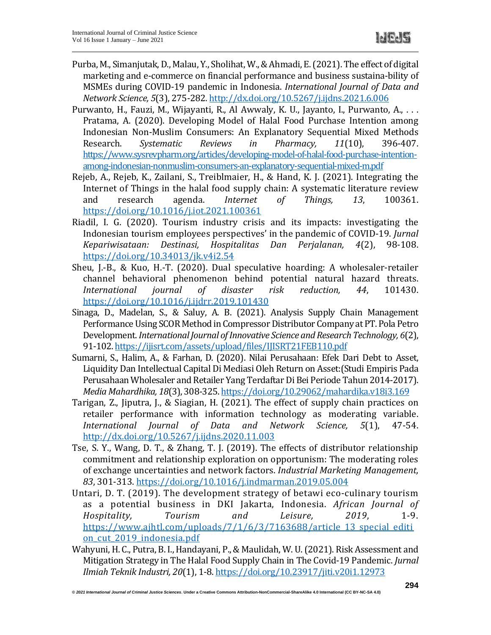- Purba, M., Simanjutak, D., Malau, Y., Sholihat, W., & Ahmadi, E. (2021). The effect of digital marketing and e-commerce on financial performance and business sustaina-bility of MSMEs during COVID-19 pandemic in Indonesia. *International Journal of Data and Network Science, 5*(3), 275-282. <http://dx.doi.org/10.5267/j.ijdns.2021.6.006>
- Purwanto, H., Fauzi, M., Wijayanti, R., Al Awwaly, K. U., Jayanto, I., Purwanto, A., . . . Pratama, A. (2020). Developing Model of Halal Food Purchase Intention among Indonesian Non-Muslim Consumers: An Explanatory Sequential Mixed Methods Research. *Systematic Reviews in Pharmacy, 11*(10), 396-407. [https://www.sysrevpharm.org/articles/developing-model-of-halal-food-purchase-intention](https://www.sysrevpharm.org/articles/developing-model-of-halal-food-purchase-intention-among-indonesian-nonmuslim-consumers-an-explanatory-sequential-mixed-m.pdf)[among-indonesian-nonmuslim-consumers-an-explanatory-sequential-mixed-m.pdf](https://www.sysrevpharm.org/articles/developing-model-of-halal-food-purchase-intention-among-indonesian-nonmuslim-consumers-an-explanatory-sequential-mixed-m.pdf)
- Rejeb, A., Rejeb, K., Zailani, S., Treiblmaier, H., & Hand, K. J. (2021). Integrating the Internet of Things in the halal food supply chain: A systematic literature review and research agenda. *Internet of Things, 13*, 100361. <https://doi.org/10.1016/j.iot.2021.100361>
- Riadil, I. G. (2020). Tourism industry crisis and its impacts: investigating the Indonesian tourism employees perspectives' in the pandemic of COVID-19. *Jurnal Kepariwisataan: Destinasi, Hospitalitas Dan Perjalanan, 4*(2), 98-108. <https://doi.org/10.34013/jk.v4i2.54>
- Sheu, J.-B., & Kuo, H.-T. (2020). Dual speculative hoarding: A wholesaler-retailer channel behavioral phenomenon behind potential natural hazard threats. *International journal of disaster risk reduction, 44*, 101430. <https://doi.org/10.1016/j.ijdrr.2019.101430>
- Sinaga, D., Madelan, S., & Saluy, A. B. (2021). Analysis Supply Chain Management Performance Using SCOR Method in Compressor Distributor Company at PT. Pola Petro Development.*InternationalJournal ofInnovative Science andResearch Technology, 6*(2), 91-102. <https://ijisrt.com/assets/upload/files/IJISRT21FEB110.pdf>
- Sumarni, S., Halim, A., & Farhan, D. (2020). Nilai Perusahaan: Efek Dari Debt to Asset, Liquidity Dan Intellectual Capital Di Mediasi Oleh Return on Asset:(Studi Empiris Pada Perusahaan Wholesaler and Retailer Yang Terdaftar Di Bei Periode Tahun 2014-2017). *Media Mahardhika, 18*(3), 308-325. <https://doi.org/10.29062/mahardika.v18i3.169>
- Tarigan, Z., Jiputra, J., & Siagian, H. (2021). The effect of supply chain practices on retailer performance with information technology as moderating variable. *International Journal of Data and Network Science, 5*(1), 47-54. <http://dx.doi.org/10.5267/j.ijdns.2020.11.003>
- Tse, S. Y., Wang, D. T., & Zhang, T. J. (2019). The effects of distributor relationship commitment and relationship exploration on opportunism: The moderating roles of exchange uncertainties and network factors. *Industrial Marketing Management, 83*, 301-313. <https://doi.org/10.1016/j.indmarman.2019.05.004>
- Untari, D. T. (2019). The development strategy of betawi eco-culinary tourism as a potential business in DKI Jakarta, Indonesia. *African Journal of Hospitality, Tourism and Leisure, 2019*, 1-9. [https://www.ajhtl.com/uploads/7/1/6/3/7163688/article\\_13\\_special\\_editi](https://www.ajhtl.com/uploads/7/1/6/3/7163688/article_13_special_edition_cut_2019_indonesia.pdf) on cut 2019 indonesia.pdf
- Wahyuni, H. C., Putra, B. I., Handayani, P.,& Maulidah, W. U.(2021). Risk Assessment and Mitigation Strategy in The Halal Food Supply Chain in The Covid-19 Pandemic. *Jurnal Ilmiah Teknik Industri, 20*(1), 1-8. <https://doi.org/10.23917/jiti.v20i1.12973>